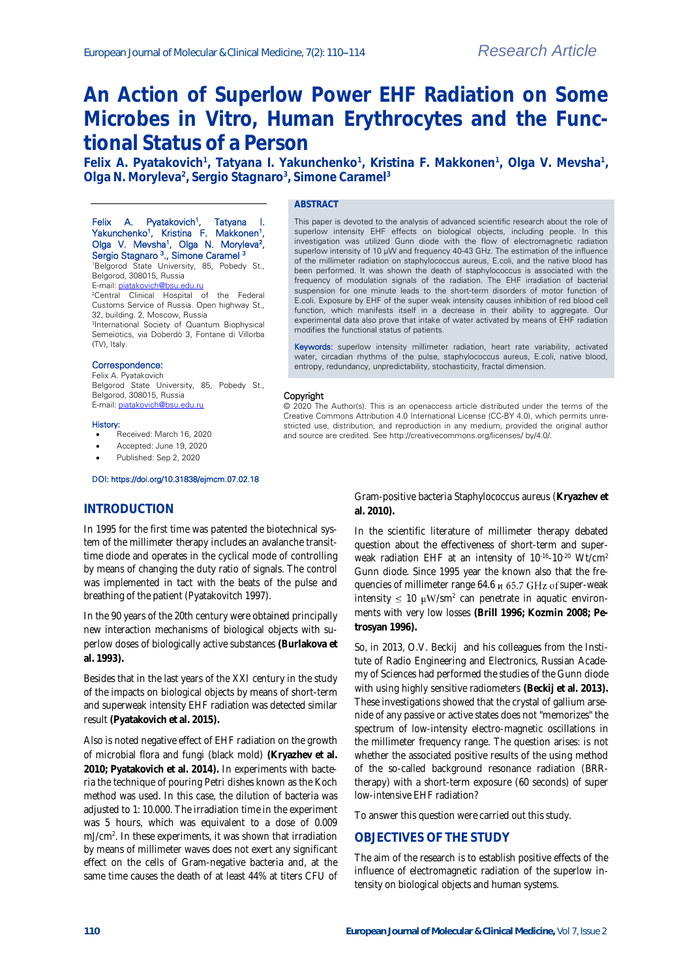# **An Action of Superlow Power EHF Radiation on Some Microbes in Vitro, Human Erythrocytes and the Functional Status of a Person**

Felix A. Pyatakovich<sup>1</sup>, Tatyana I. Yakunchenko<sup>1</sup>, Kristina F. Makkonen<sup>1</sup>, Olga V. Mevsha<sup>1</sup>, **Olga N. Moryleva<sup>2</sup> , Sergio Stagnaro<sup>3</sup> , Simone Caramel<sup>3</sup>**

#### Felix A. Pyatakovich<sup>1</sup>, , Tatyana I. Yakunchenko<sup>1</sup>, Kristina F. Makkonen<sup>1</sup>, Olga V. Mevsha<sup>1</sup>, Olga N. Moryleva<sup>2</sup>, Sergio Stagnaro <sup>3</sup>., Simone Caramel <sup>3</sup>

<sup>1</sup>Belgorod State University, 85, Pobedy St., Belgorod, 308015, Russia

E-mail: [piatakovich@bsu.edu.ru](mailto:piatakovich@bsu.edu.ru)

#### <sup>2</sup>Central Clinical Hospital of the Federal Customs Service of Russia. Open highway St., 32, building. 2, Moscow, Russia

3 International Society of Quantum Biophysical Semeiotics, via Doberdò 3, Fontane di Villorba (TV), Italy.

#### Correspondence:

Felix A. Pyatakovich Belgorod State University, 85, Pobedy St., Belgorod, 308015, Russia E-mail[: piatakovich@bsu.edu.ru](mailto:piatakovich@bsu.edu.ru)

#### History:

- .<br>Received: March 16, 2020
- Accepted: June 19, 2020
- Published: Sep 2, 2020

#### DOI: https://doi.org/10.31838/ejmcm.07.02.18

## **INTRODUCTION**

In 1995 for the first time was patented the biotechnical system of the millimeter therapy includes an avalanche transittime diode and operates in the cyclical mode of controlling by means of changing the duty ratio of signals. The control was implemented in tact with the beats of the pulse and breathing of the patient (Pyatakovitch 1997).

In the 90 years of the 20th century were obtained principally new interaction mechanisms of biological objects with superlow doses of biologically active substances **(Burlakova et al. 1993).**

Besides that in the last years of the XXI century in the study of the impacts on biological objects by means of short-term and superweak intensity EHF radiation was detected similar result **(Pyatakovich et al. 2015).**

Also is noted negative effect of EHF radiation on the growth of microbial flora and fungi (black mold) **(Kryazhev et al. 2010; Pyatakovich et al. 2014).** In experiments with bacteria the technique of pouring Petri dishes known as the Koch method was used. In this case, the dilution of bacteria was adjusted to 1: 10.000. The irradiation time in the experiment was 5 hours, which was equivalent to a dose of 0.009 mJ/cm<sup>2</sup> . In these experiments, it was shown that irradiation by means of millimeter waves does not exert any significant effect on the cells of Gram-negative bacteria and, at the same time causes the death of at least 44% at titers CFU of

# **ABSTRACT**

This paper is devoted to the analysis of advanced scientific research about the role of superlow intensity EHF effects on biological objects, including people. In this investigation was utilized Gunn diode with the flow of electromagnetic radiation superlow intensity of 10 μW and frequency 40-43 GHz. The estimation of the influence of the millimeter radiation on staphylococcus aureus, E.coli, and the native blood has been performed. It was shown the death of staphylococcus is associated with the frequency of modulation signals of the radiation. The EHF irradiation of bacterial suspension for one minute leads to the short-term disorders of motor function of E.coli. Exposure by EHF of the super weak intensity causes inhibition of red blood cell function, which manifests itself in a decrease in their ability to aggregate. Our experimental data also prove that intake of water activated by means of EHF radiation modifies the functional status of patients.

Keywords: superlow intensity millimeter radiation, heart rate variability, activated water, circadian rhythms of the pulse, staphylococcus aureus, E.coli, native blood, entropy, redundancy, unpredictability, stochasticity, fractal dimension.

#### Copyright

© 2020 The Author(s). This is an openaccess article distributed under the terms of the Creative Commons Attribution 4.0 International License (CC-BY 4.0), which permits unrestricted use, distribution, and reproduction in any medium, provided the original author and source are credited. See http://creativecommons.org/licenses/ by/4.0/.

> Gram-positive bacteria Staphylococcus aureus (**Kryazhev et al. 2010).**

> In the scientific literature of millimeter therapy debated question about the effectiveness of short-term and superweak radiation EHF at an intensity of 10<sup>-16</sup>-10<sup>-20</sup> Wt/cm<sup>2</sup> Gunn diode. Since 1995 year the known also that the frequencies of millimeter range 64.6  $\mu$  65.7 GHz of super-weak intensity  $\leq 10 \mu W/sm^2$  can penetrate in aquatic environments with very low losses **(Brill 1996; Kozmin 2008; Petrosyan 1996).**

> So, in 2013, O.V. Beckij and his colleagues from the Institute of Radio Engineering and Electronics, Russian Academy of Sciences had performed the studies of the Gunn diode with using highly sensitive radiometers **(Beckij et al. 2013).** These investigations showed that the crystal of gallium arsenide of any passive or active states does not "memorizes" the spectrum of low-intensity electro-magnetic oscillations in the millimeter frequency range. The question arises: is not whether the associated positive results of the using method of the so-called background resonance radiation (BRRtherapy) with a short-term exposure (60 seconds) of super low-intensive EHF radiation?

To answer this question were carried out this study.

### **OBJECTIVES OF THE STUDY**

The aim of the research is to establish positive effects of the influence of electromagnetic radiation of the superlow intensity on biological objects and human systems.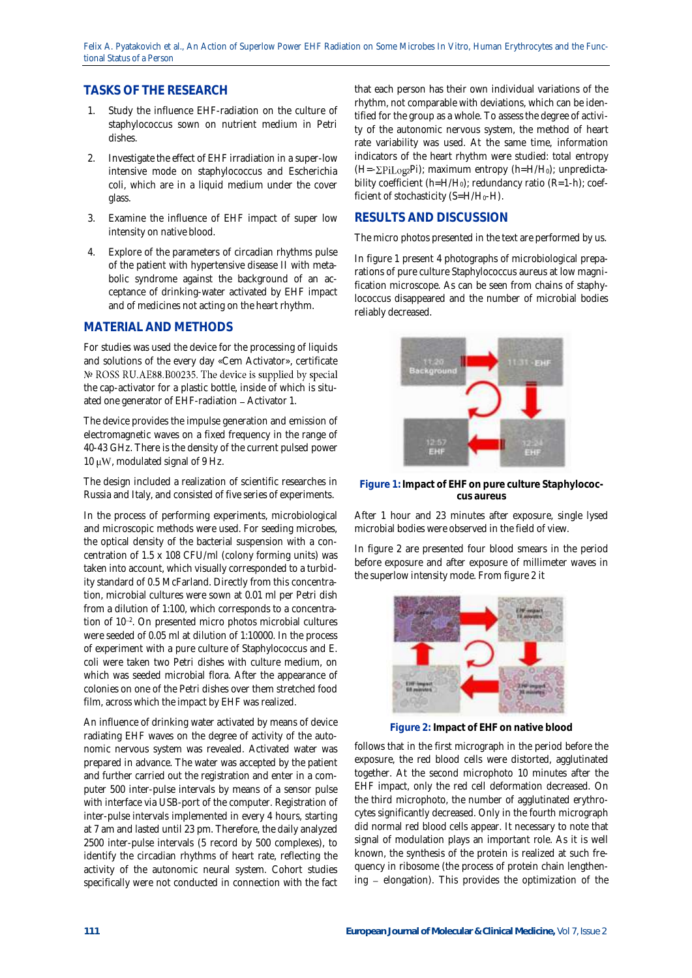Felix A. Pyatakovich et al., An Action of Superlow Power EHF Radiation on Some Microbes In Vitro, Human Erythrocytes and the Functional Status of a Person

## **TASKS OF THE RESEARCH**

- 1. Study the influence EHF-radiation on the culture of staphylococcus sown on nutrient medium in Petri dishes.
- 2. Investigate the effect of EHF irradiation in a super-low intensive mode on staphylococcus and Escherichia coli, which are in a liquid medium under the cover glass.
- 3. Examine the influence of EHF impact of super low intensity on native blood.
- 4. Explore of the parameters of circadian rhythms pulse of the patient with hypertensive disease II with metabolic syndrome against the background of an acceptance of drinking-water activated by EHF impact and of medicines not acting on the heart rhythm.

## **MATERIAL AND METHODS**

For studies was used the device for the processing of liquids and solutions of the every day «Cem Activator», certificate № ROSS RU.AE88.B00235. The device is supplied by special the cap-activator for a plastic bottle, inside of which is situated one generator of EHF-radiation - Activator 1.

The device provides the impulse generation and emission of electromagnetic waves on a fixed frequency in the range of 40-43 GHz. There is the density of the current pulsed power 10  $\mu$ W, modulated signal of 9 Hz.

The design included a realization of scientific researches in Russia and Italy, and consisted of five series of experiments.

In the process of performing experiments, microbiological and microscopic methods were used. For seeding microbes, the optical density of the bacterial suspension with a concentration of 1.5 x 108 CFU/ml (colony forming units) was taken into account, which visually corresponded to a turbidity standard of 0.5 McFarland. Directly from this concentration, microbial cultures were sown at 0.01 ml per Petri dish from a dilution of 1:100, which corresponds to a concentration of 10<sup>-2</sup>. On presented micro photos microbial cultures were seeded of 0.05 ml at dilution of 1:10000. In the process of experiment with a pure culture of Staphylococcus and E. coli were taken two Petri dishes with culture medium, on which was seeded microbial flora. After the appearance of colonies on one of the Petri dishes over them stretched food film, across which the impact by EHF was realized.

An influence of drinking water activated by means of device radiating EHF waves on the degree of activity of the autonomic nervous system was revealed. Activated water was prepared in advance. The water was accepted by the patient and further carried out the registration and enter in a computer 500 inter-pulse intervals by means of a sensor pulse with interface via USB-port of the computer. Registration of inter-pulse intervals implemented in every 4 hours, starting at 7 am and lasted until 23 pm. Therefore, the daily analyzed 2500 inter-pulse intervals (5 record by 500 complexes), to identify the circadian rhythms of heart rate, reflecting the activity of the autonomic neural system. Cohort studies specifically were not conducted in connection with the fact

that each person has their own individual variations of the rhythm, not comparable with deviations, which can be identified for the group as a whole. To assess the degree of activity of the autonomic nervous system, the method of heart rate variability was used. At the same time, information indicators of the heart rhythm were studied: total entropy  $(H=-\Sigma \text{Pi} \log_2 P \text{I})$ ; maximum entropy  $(h=H/H_0)$ ; unpredictability coefficient (h=H/H<sub>0</sub>); redundancy ratio (R=1-h); coefficient of stochasticity (S=H/H<sub>0</sub>-H).

## **RESULTS AND DISCUSSION**

The micro photos presented in the text are performed by us.

In figure 1 present 4 photographs of microbiological preparations of pure culture Staphylococcus aureus at low magnification microscope. As can be seen from chains of staphylococcus disappeared and the number of microbial bodies reliably decreased.



**Figure 1: Impact of EHF on pure culture Staphylococcus aureus**

After 1 hour and 23 minutes after exposure, single lysed microbial bodies were observed in the field of view.

In figure 2 are presented four blood smears in the period before exposure and after exposure of millimeter waves in the superlow intensity mode. From figure 2 it



**Figure 2: Impact of EHF on native blood**

follows that in the first micrograph in the period before the exposure, the red blood cells were distorted, agglutinated together. At the second microphoto 10 minutes after the EHF impact, only the red cell deformation decreased. On the third microphoto, the number of agglutinated erythrocytes significantly decreased. Only in the fourth micrograph did normal red blood cells appear. It necessary to note that signal of modulation plays an important role. As it is well known, the synthesis of the protein is realized at such frequency in ribosome (the process of protein chain lengthening  $-$  elongation). This provides the optimization of the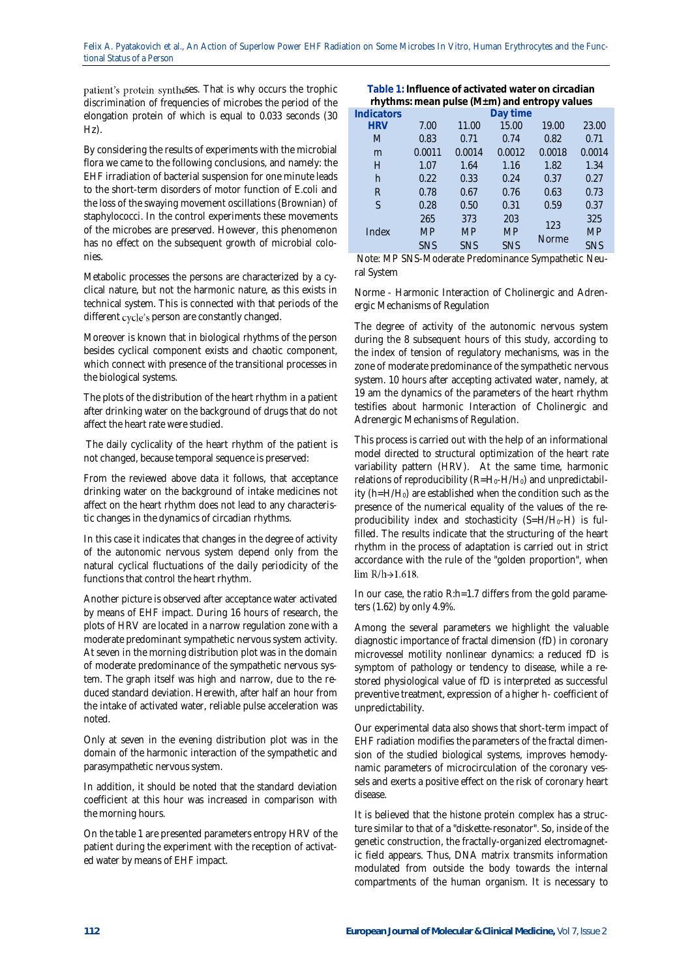patient's protein syntheses. That is why occurs the trophic discrimination of frequencies of microbes the period of the elongation protein of which is equal to 0.033 seconds (30 Hz).

By considering the results of experiments with the microbial flora we came to the following conclusions, and namely: the EHF irradiation of bacterial suspension for one minute leads to the short-term disorders of motor function of E.coli and the loss of the swaying movement oscillations (Brownian) of staphylococci. In the control experiments these movements of the microbes are preserved. However, this phenomenon has no effect on the subsequent growth of microbial colonies.

Metabolic processes the persons are characterized by a cyclical nature, but not the harmonic nature, as this exists in technical system. This is connected with that periods of the different cycle's person are constantly changed.

Moreover is known that in biological rhythms of the person besides cyclical component exists and chaotic component, which connect with presence of the transitional processes in the biological systems.

The plots of the distribution of the heart rhythm in a patient after drinking water on the background of drugs that do not affect the heart rate were studied.

The daily cyclicality of the heart rhythm of the patient is not changed, because temporal sequence is preserved:

From the reviewed above data it follows, that acceptance drinking water on the background of intake medicines not affect on the heart rhythm does not lead to any characteristic changes in the dynamics of circadian rhythms.

In this case it indicates that changes in the degree of activity of the autonomic nervous system depend only from the natural cyclical fluctuations of the daily periodicity of the functions that control the heart rhythm.

Another picture is observed after acceptance water activated by means of EHF impact. During 16 hours of research, the plots of HRV are located in a narrow regulation zone with a moderate predominant sympathetic nervous system activity. At seven in the morning distribution plot was in the domain of moderate predominance of the sympathetic nervous system. The graph itself was high and narrow, due to the reduced standard deviation. Herewith, after half an hour from the intake of activated water, reliable pulse acceleration was noted.

Only at seven in the evening distribution plot was in the domain of the harmonic interaction of the sympathetic and parasympathetic nervous system.

In addition, it should be noted that the standard deviation coefficient at this hour was increased in comparison with the morning hours.

On the table 1 are presented parameters entropy HRV of the patient during the experiment with the reception of activated water by means of EHF impact.

| Table 1: Influence of activated water on circadian |  |
|----------------------------------------------------|--|
| rhythms: mean pulse (M±m) and entropy values       |  |
|                                                    |  |

|            |            | Day time   |        |              |
|------------|------------|------------|--------|--------------|
| 7.00       | 11.00      | 15.00      | 19.00  | 23.00        |
| 0.83       | 0.71       | 0.74       | 0.82   | 0.71         |
| 0.0011     | 0.0014     | 0.0012     | 0.0018 | 0.0014       |
| 1.07       | 1.64       | 1.16       | 1.82   | 1.34         |
| 0.22       | 0.33       | 0.24       | 0.37   | 0.27         |
| 0.78       | 0.67       | 0.76       | 0.63   | 0.73         |
| 0.28       | 0.50       | 0.31       | 0.59   | 0.37         |
| 265        | 373        | 203        |        | 325          |
| <b>MP</b>  | <b>MP</b>  | <b>MP</b>  |        | <b>MP</b>    |
| <b>SNS</b> | <b>SNS</b> | <b>SNS</b> |        | <b>SNS</b>   |
|            |            |            |        | 123<br>Norme |

Note: MP SNS-Moderate Predominance Sympathetic Neural System

Norme - Harmonic Interaction of Cholinergic and Adrenergic Mechanisms of Regulation

The degree of activity of the autonomic nervous system during the 8 subsequent hours of this study, according to the index of tension of regulatory mechanisms, was in the zone of moderate predominance of the sympathetic nervous system. 10 hours after accepting activated water, namely, at 19 am the dynamics of the parameters of the heart rhythm testifies about harmonic Interaction of Cholinergic and Adrenergic Mechanisms of Regulation.

This process is carried out with the help of an informational model directed to structural optimization of the heart rate variability pattern (HRV). At the same time, harmonic relations of reproducibility (R=H<sub>0</sub>-H/H<sub>0</sub>) and unpredictability (h=H/H0) are established when the condition such as the presence of the numerical equality of the values of the reproducibility index and stochasticity (S=H/H0-H) is fulfilled. The results indicate that the structuring of the heart rhythm in the process of adaptation is carried out in strict accordance with the rule of the "golden proportion", when  $\lim R/h \rightarrow 1.618$ .

In our case, the ratio R:h=1.7 differs from the gold parameters (1.62) by only 4.9%.

Among the several parameters we highlight the valuable diagnostic importance of fractal dimension (fD) in coronary microvessel motility nonlinear dynamics: a reduced fD is symptom of pathology or tendency to disease, while a restored physiological value of fD is interpreted as successful preventive treatment, expression of a higher h- coefficient of unpredictability.

Our experimental data also shows that short-term impact of EHF radiation modifies the parameters of the fractal dimension of the studied biological systems, improves hemodynamic parameters of microcirculation of the coronary vessels and exerts a positive effect on the risk of coronary heart disease.

It is believed that the histone protein complex has a structure similar to that of a "diskette-resonator". So, inside of the genetic construction, the fractally-organized electromagnetic field appears. Thus, DNA matrix transmits information modulated from outside the body towards the internal compartments of the human organism. It is necessary to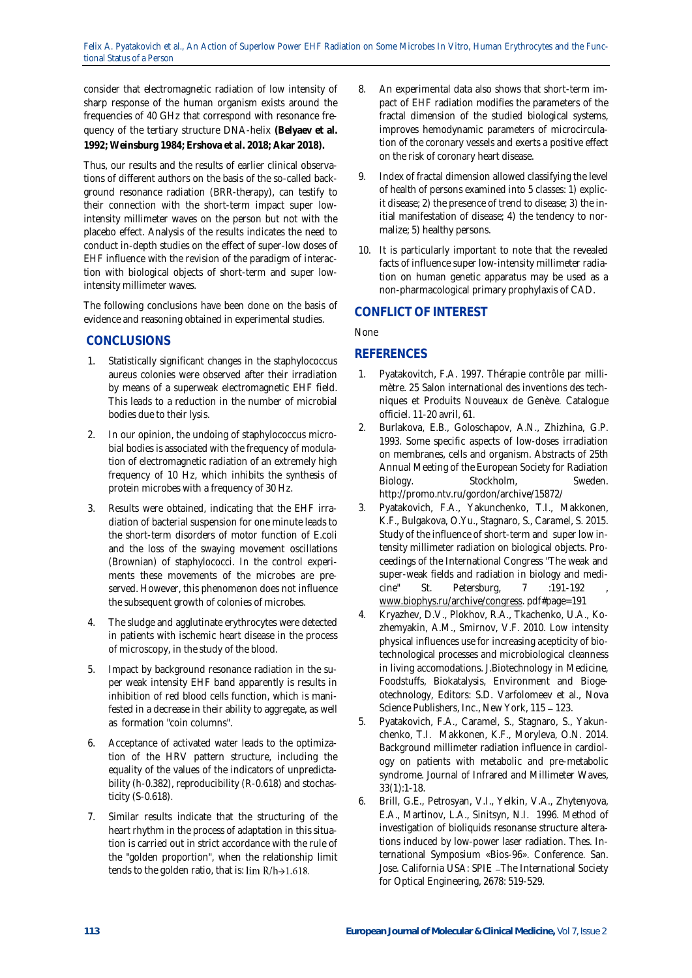consider that electromagnetic radiation of low intensity of sharp response of the human organism exists around the frequencies of 40 GHz that correspond with resonance frequency of the tertiary structure DNA-helix **(Belyaev et al. 1992; Weinsburg 1984; Ershova et al. 2018; Akar 2018).**

Thus, our results and the results of earlier clinical observations of different authors on the basis of the so-called background resonance radiation (BRR-therapy), can testify to their connection with the short-term impact super lowintensity millimeter waves on the person but not with the placebo effect. Analysis of the results indicates the need to conduct in-depth studies on the effect of super-low doses of EHF influence with the revision of the paradigm of interaction with biological objects of short-term and super lowintensity millimeter waves.

The following conclusions have been done on the basis of evidence and reasoning obtained in experimental studies.

# **CONCLUSIONS**

- 1. Statistically significant changes in the staphylococcus aureus colonies were observed after their irradiation by means of a superweak electromagnetic EHF field. This leads to a reduction in the number of microbial bodies due to their lysis.
- 2. In our opinion, the undoing of staphylococcus microbial bodies is associated with the frequency of modulation of electromagnetic radiation of an extremely high frequency of 10 Hz, which inhibits the synthesis of protein microbes with a frequency of 30 Hz.
- 3. Results were obtained, indicating that the EHF irradiation of bacterial suspension for one minute leads to the short-term disorders of motor function of E.coli and the loss of the swaying movement oscillations (Brownian) of staphylococci. In the control experiments these movements of the microbes are preserved. However, this phenomenon does not influence the subsequent growth of colonies of microbes.
- 4. The sludge and agglutinate erythrocytes were detected in patients with ischemic heart disease in the process of microscopy, in the study of the blood.
- 5. Impact by background resonance radiation in the super weak intensity EHF band apparently is results in inhibition of red blood cells function, which is manifested in a decrease in their ability to aggregate, as well as formation "coin columns".
- 6. Acceptance of activated water leads to the optimization of the HRV pattern structure, including the equality of the values of the indicators of unpredictability (h-0.382), reproducibility (R-0.618) and stochasticity (S-0.618).
- 7. Similar results indicate that the structuring of the heart rhythm in the process of adaptation in this situation is carried out in strict accordance with the rule of the "golden proportion", when the relationship limit tends to the golden ratio, that is:  $\lim R/h \rightarrow 1.618$ .
- 8. An experimental data also shows that short-term impact of EHF radiation modifies the parameters of the fractal dimension of the studied biological systems, improves hemodynamic parameters of microcirculation of the coronary vessels and exerts a positive effect on the risk of coronary heart disease.
- 9. Index of fractal dimension allowed classifying the level of health of persons examined into 5 classes: 1) explicit disease; 2) the presence of trend to disease; 3) the initial manifestation of disease; 4) the tendency to normalize; 5) healthy persons.
- 10. It is particularly important to note that the revealed facts of influence super low-intensity millimeter radiation on human genetic apparatus may be used as a non-pharmacological primary prophylaxis of CAD.

## **CONFLICT OF INTEREST**

None

## **REFERENCES**

- Pyatakovitch, F.A. 1997. Thérapie contrôle par millimètre. 25 Salon international des inventions des techniques et Produits Nouveaux de Genève. Catalogue officiel. 11-20 avril, 61.
- 2. Burlakova, E.B., Goloschapov, A.N., Zhizhina, G.P. 1993. Some specific aspects of low-doses irradiation on membranes, cells and organism. Abstracts of 25th Annual Meeting of the European Society for Radiation Biology. Stockholm, Sweden. <http://promo.ntv.ru/gordon/archive/15872/>
- 3. Pyatakovich, F.A., Yakunchenko, T.I., Makkonen, K.F., Bulgakova, O.Yu., Stagnaro, S., Caramel, S. 2015. Study of the influence of short-term and super low intensity millimeter radiation on biological objects. Proceedings of the International Congress "The weak and super-weak fields and radiation in biology and medi-<br>cine" St. Petersburg, 7 :191-192 cine" St. Petersburg, [www.biophys.ru/archive/congress.](http://www.biophys.ru/archive/congress) pdf#page=191
- 4. Kryazhev, D.V., Plokhov, R.A., Tkachenko, U.A., Kozhemyakin, A.M., Smirnov, V.F. 2010. Low intensity physical influences use for increasing acepticity of biotechnological processes and microbiological cleanness in living accomodations. J.Biotechnology in Medicine, Foodstuffs, Biokatalysis, Environment and Biogeotechnology, Editors: S.D. Varfolomeev et al., Nova Science Publishers, Inc., New York, 115 - 123.
- 5. Pyatakovich, F.A., Caramel, S., Stagnaro, S., Yakunchenko, T.I. Makkonen, K.F., Moryleva, O.N. 2014. Background millimeter radiation influence in cardiology on patients with metabolic and pre-metabolic syndrome. Journal of Infrared and Millimeter Waves, 33(1):1-18.
- 6. Brill, G.E., Petrosyan, V.I., Yelkin, V.A., Zhytenyova, E.A., Martinov, L.A., Sinitsyn, N.I. 1996. Method of investigation of bioliquids resonanse structure alterations induced by low-power laser radiation. Thes. International Symposium «Bios-96». Conference. San. Jose. California USA: SPIE - The International Society for Optical Engineering, 2678: 519-529.